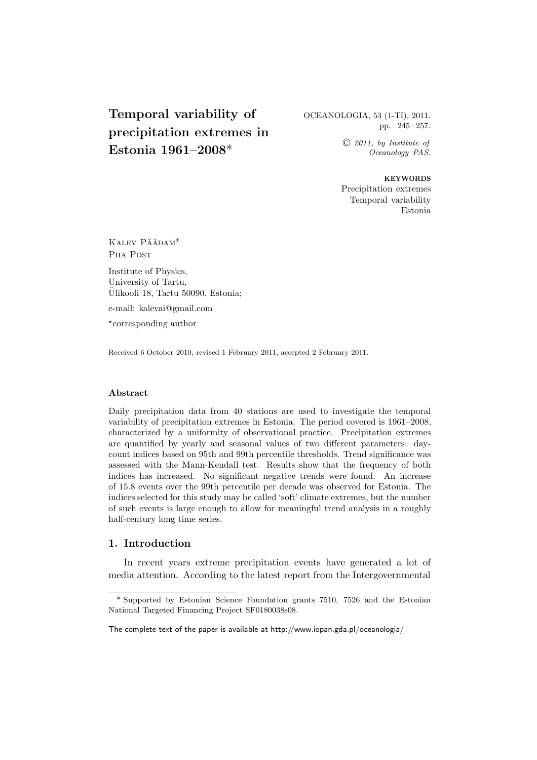# **Temporal variability of precipitation extremes in Estonia 1961–2008**\*

## OCEANOLOGIA, 53 (1-TI), 2011. pp. 245–257.

 C *2011, by Institute of Oceanology PAS.*

**KEYWORDS** Precipitation extremes Temporal variability Estonia

KALEV PÄÄDAM<sup>\*</sup> P<sub>IIA</sub> P<sub>OST</sub>

Institute of Physics, University of Tartu, Ulikooli 18, Tartu 50090, Estonia; ¨

e-mail: kalevai@gmail.com

⋆ corresponding author

Received 6 October 2010, revised 1 February 2011, accepted 2 February 2011.

#### **Abstract**

Daily precipitation data from 40 stations are used to investigate the temporal variability of precipitation extremes in Estonia. The period covered is 1961–2008, characterized by a uniformity of observational practice. Precipitation extremes are quantified by yearly and seasonal values of two different parameters: daycount indices based on 95th and 99th percentile thresholds. Trend significance was assessed with the Mann-Kendall test. Results show that the frequency of both indices has increased. No significant negative trends were found. An increase of 15.8 events over the 99th percentile per decade was observed for Estonia. The indices selected for this study may be called 'soft' climate extremes, but the number of such events is large enough to allow for meaningful trend analysis in a roughly half-century long time series.

## **1. Introduction**

In recent years extreme precipitation events have generated a lot of media attention. According to the latest report from the Intergovernmental

<sup>\*</sup> Supported by Estonian Science Foundation grants 7510, 7526 and the Estonian National Targeted Financing Project SF0180038s08.

The complete text of the paper is available at http://www.iopan.gda.pl/oceanologia/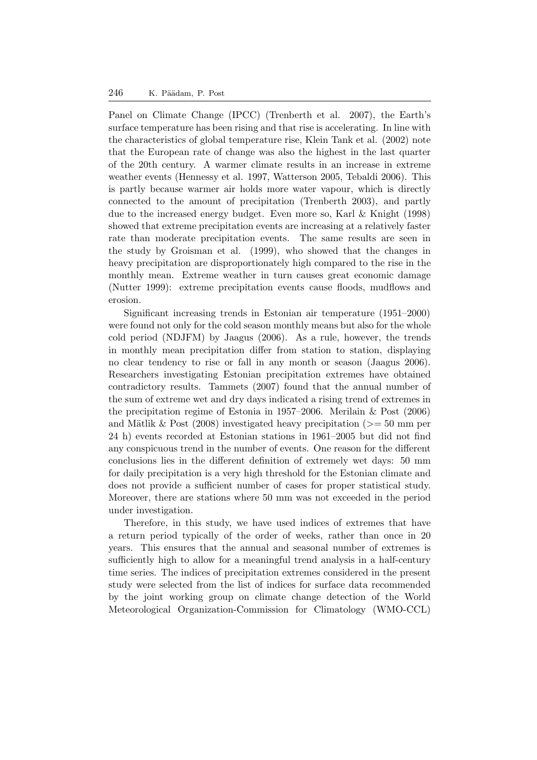Panel on Climate Change (IPCC) (Trenberth et al. 2007), the Earth's surface temperature has been rising and that rise is accelerating. In line with the characteristics of global temperature rise, Klein Tank et al. (2002) note that the European rate of change was also the highest in the last quarter of the 20th century. A warmer climate results in an increase in extreme weather events (Hennessy et al. 1997, Watterson 2005, Tebaldi 2006). This is partly because warmer air holds more water vapour, which is directly connected to the amount of precipitation (Trenberth 2003), and partly due to the increased energy budget. Even more so, Karl & Knight (1998) showed that extreme precipitation events are increasing at a relatively faster rate than moderate precipitation events. The same results are seen in the study by Groisman et al. (1999), who showed that the changes in heavy precipitation are disproportionately high compared to the rise in the monthly mean. Extreme weather in turn causes great economic damage (Nutter 1999): extreme precipitation events cause floods, mudflows and erosion.

Significant increasing trends in Estonian air temperature (1951–2000) were found not only for the cold season monthly means but also for the whole cold period (NDJFM) by Jaagus (2006). As a rule, however, the trends in monthly mean precipitation differ from station to station, displaying no clear tendency to rise or fall in any month or season (Jaagus 2006). Researchers investigating Estonian precipitation extremes have obtained contradictory results. Tammets (2007) found that the annual number of the sum of extreme wet and dry days indicated a rising trend of extremes in the precipitation regime of Estonia in 1957–2006. Merilain & Post (2006) and Mätlik & Post (2008) investigated heavy precipitation ( $>= 50$  mm per 24 h) events recorded at Estonian stations in 1961–2005 but did not find any conspicuous trend in the number of events. One reason for the different conclusions lies in the different definition of extremely wet days: 50 mm for daily precipitation is a very high threshold for the Estonian climate and does not provide a sufficient number of cases for proper statistical study. Moreover, there are stations where 50 mm was not exceeded in the period under investigation.

Therefore, in this study, we have used indices of extremes that have a return period typically of the order of weeks, rather than once in 20 years. This ensures that the annual and seasonal number of extremes is sufficiently high to allow for a meaningful trend analysis in a half-century time series. The indices of precipitation extremes considered in the present study were selected from the list of indices for surface data recommended by the joint working group on climate change detection of the World Meteorological Organization-Commission for Climatology (WMO-CCL)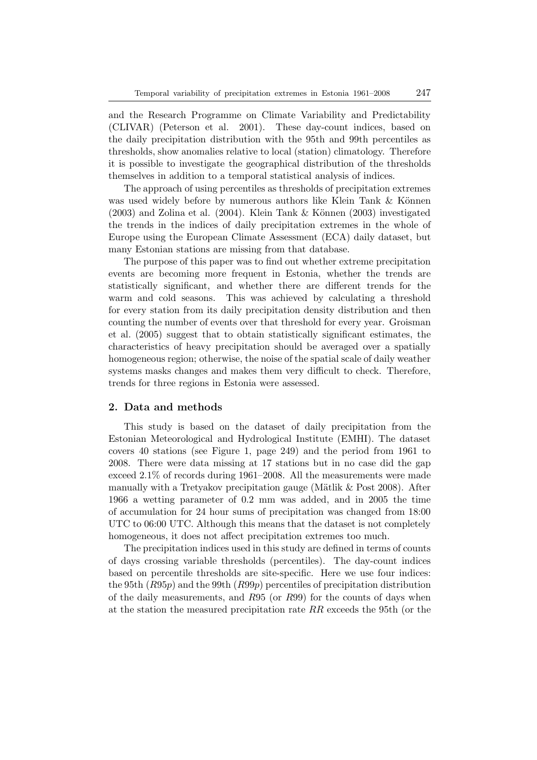and the Research Programme on Climate Variability and Predictability (CLIVAR) (Peterson et al. 2001). These day-count indices, based on the daily precipitation distribution with the 95th and 99th percentiles as thresholds, show anomalies relative to local (station) climatology. Therefore it is possible to investigate the geographical distribution of the thresholds themselves in addition to a temporal statistical analysis of indices.

The approach of using percentiles as thresholds of precipitation extremes was used widely before by numerous authors like Klein Tank  $\&$  Können  $(2003)$  and Zolina et al.  $(2004)$ . Klein Tank & Können  $(2003)$  investigated the trends in the indices of daily precipitation extremes in the whole of Europe using the European Climate Assessment (ECA) daily dataset, but many Estonian stations are missing from that database.

The purpose of this paper was to find out whether extreme precipitation events are becoming more frequent in Estonia, whether the trends are statistically significant, and whether there are different trends for the warm and cold seasons. This was achieved by calculating a threshold for every station from its daily precipitation density distribution and then counting the number of events over that threshold for every year. Groisman et al. (2005) suggest that to obtain statistically significant estimates, the characteristics of heavy precipitation should be averaged over a spatially homogeneous region; otherwise, the noise of the spatial scale of daily weather systems masks changes and makes them very difficult to check. Therefore, trends for three regions in Estonia were assessed.

## **2. Data and methods**

This study is based on the dataset of daily precipitation from the Estonian Meteorological and Hydrological Institute (EMHI). The dataset covers 40 stations (see Figure 1, page 249) and the period from 1961 to 2008. There were data missing at 17 stations but in no case did the gap exceed 2.1% of records during 1961–2008. All the measurements were made manually with a Tretyakov precipitation gauge (Mätlik  $&$  Post 2008). After 1966 a wetting parameter of 0.2 mm was added, and in 2005 the time of accumulation for 24 hour sums of precipitation was changed from 18:00 UTC to 06:00 UTC. Although this means that the dataset is not completely homogeneous, it does not affect precipitation extremes too much.

The precipitation indices used in this study are defined in terms of counts of days crossing variable thresholds (percentiles). The day-count indices based on percentile thresholds are site-specific. Here we use four indices: the 95th  $(R95p)$  and the 99th  $(R99p)$  percentiles of precipitation distribution of the daily measurements, and R95 (or R99) for the counts of days when at the station the measured precipitation rate RR exceeds the 95th (or the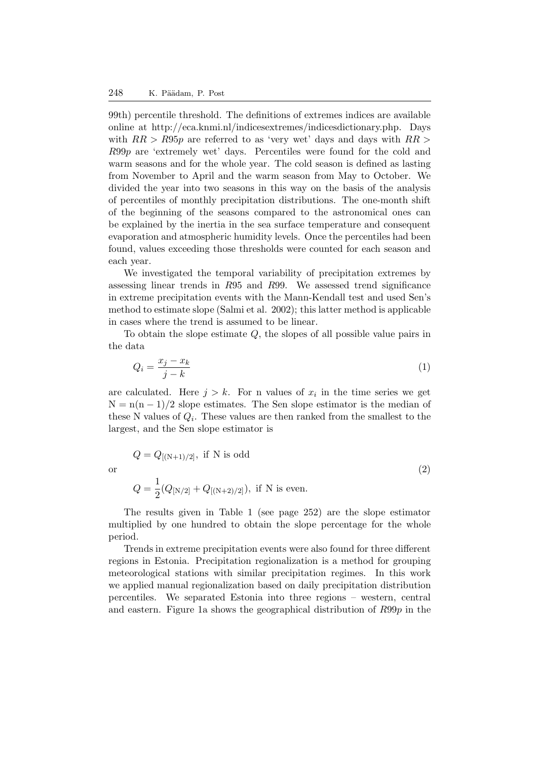99th) percentile threshold. The definitions of extremes indices are available online at http://eca.knmi.nl/indicesextremes/indicesdictionary.php. Days with  $RR > R95p$  are referred to as 'very wet' days and days with  $RR >$ R99p are 'extremely wet' days. Percentiles were found for the cold and warm seasons and for the whole year. The cold season is defined as lasting from November to April and the warm season from May to October. We divided the year into two seasons in this way on the basis of the analysis of percentiles of monthly precipitation distributions. The one-month shift of the beginning of the seasons compared to the astronomical ones can be explained by the inertia in the sea surface temperature and consequent evaporation and atmospheric humidity levels. Once the percentiles had been found, values exceeding those thresholds were counted for each season and each year.

We investigated the temporal variability of precipitation extremes by assessing linear trends in R95 and R99. We assessed trend significance in extreme precipitation events with the Mann-Kendall test and used Sen's method to estimate slope (Salmi et al. 2002); this latter method is applicable in cases where the trend is assumed to be linear.

To obtain the slope estimate Q, the slopes of all possible value pairs in the data

$$
Q_i = \frac{x_j - x_k}{j - k} \tag{1}
$$

are calculated. Here  $j > k$ . For n values of  $x_i$  in the time series we get  $N = n(n-1)/2$  slope estimates. The Sen slope estimator is the median of these N values of  $Q_i$ . These values are then ranked from the smallest to the largest, and the Sen slope estimator is

$$
Q = Q_{[(N+1)/2]}, \text{ if } N \text{ is odd}
$$
  
or  

$$
Q = \frac{1}{2}(Q_{[N/2]} + Q_{[(N+2)/2]}), \text{ if } N \text{ is even.}
$$
 (2)

The results given in Table 1 (see page 252) are the slope estimator multiplied by one hundred to obtain the slope percentage for the whole period.

Trends in extreme precipitation events were also found for three different regions in Estonia. Precipitation regionalization is a method for grouping meteorological stations with similar precipitation regimes. In this work we applied manual regionalization based on daily precipitation distribution percentiles. We separated Estonia into three regions – western, central and eastern. Figure 1a shows the geographical distribution of  $R99p$  in the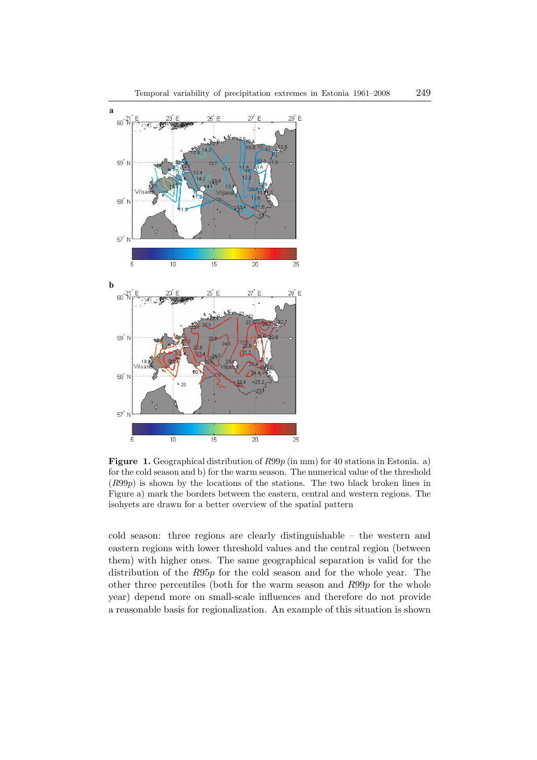

**Figure 1.** Geographical distribution of  $R99p$  (in mm) for 40 stations in Estonia. a) for the cold season and b) for the warm season. The numerical value of the threshold (R99p) is shown by the locations of the stations. The two black broken lines in Figure a) mark the borders between the eastern, central and western regions. The isohyets are drawn for a better overview of the spatial pattern

cold season: three regions are clearly distinguishable – the western and eastern regions with lower threshold values and the central region (between them) with higher ones. The same geographical separation is valid for the distribution of the R95p for the cold season and for the whole year. The other three percentiles (both for the warm season and R99p for the whole year) depend more on small-scale influences and therefore do not provide a reasonable basis for regionalization. An example of this situation is shown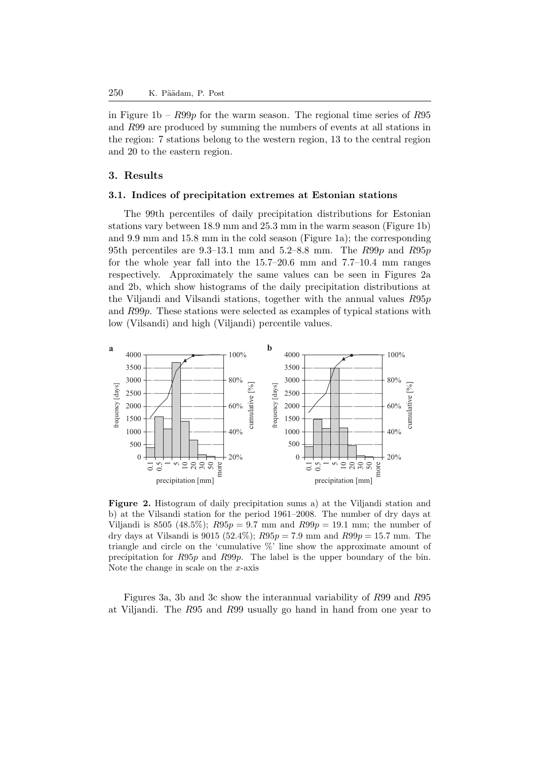in Figure 1b –  $R99p$  for the warm season. The regional time series of  $R95$ and R99 are produced by summing the numbers of events at all stations in the region: 7 stations belong to the western region, 13 to the central region and 20 to the eastern region.

## **3. Results**

## **3.1. Indices of precipitation extremes at Estonian stations**

The 99th percentiles of daily precipitation distributions for Estonian stations vary between 18.9 mm and 25.3 mm in the warm season (Figure 1b) and 9.9 mm and 15.8 mm in the cold season (Figure 1a); the corresponding 95th percentiles are 9.3–13.1 mm and 5.2–8.8 mm. The  $R99p$  and  $R95p$ for the whole year fall into the 15.7–20.6 mm and 7.7–10.4 mm ranges respectively. Approximately the same values can be seen in Figures 2a and 2b, which show histograms of the daily precipitation distributions at the Viljandi and Vilsandi stations, together with the annual values R95p and R99p. These stations were selected as examples of typical stations with low (Vilsandi) and high (Viljandi) percentile values.



**Figure 2.** Histogram of daily precipitation sums a) at the Viljandi station and b) at the Vilsandi station for the period 1961–2008. The number of dry days at Viljandi is 8505 (48.5%);  $R95p = 9.7$  mm and  $R99p = 19.1$  mm; the number of dry days at Vilsandi is 9015 (52.4%);  $R95p = 7.9$  mm and  $R99p = 15.7$  mm. The triangle and circle on the 'cumulative %' line show the approximate amount of precipitation for R95p and R99p. The label is the upper boundary of the bin. Note the change in scale on the  $x$ -axis

Figures 3a, 3b and 3c show the interannual variability of R99 and R95 at Viljandi. The R95 and R99 usually go hand in hand from one year to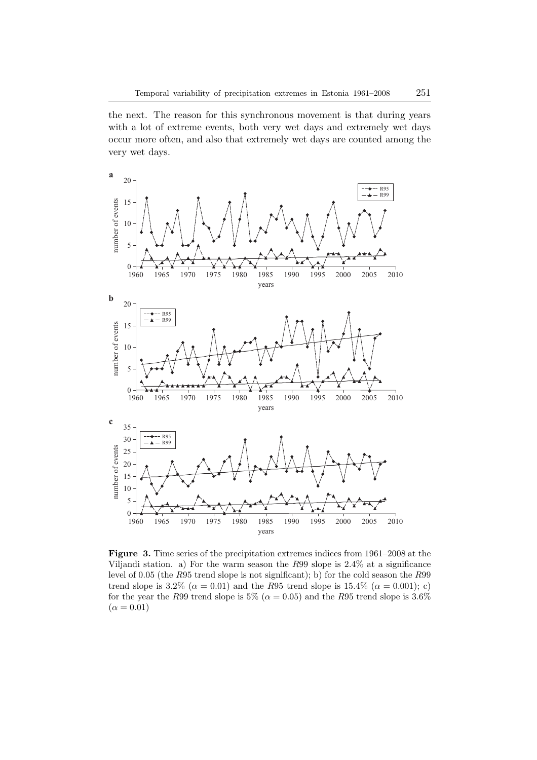the next. The reason for this synchronous movement is that during years with a lot of extreme events, both very wet days and extremely wet days occur more often, and also that extremely wet days are counted among the very wet days.



**Figure 3.** Time series of the precipitation extremes indices from 1961–2008 at the Viljandi station. a) For the warm season the R99 slope is 2.4% at a significance level of 0.05 (the R95 trend slope is not significant); b) for the cold season the R99 trend slope is 3.2% ( $\alpha = 0.01$ ) and the R95 trend slope is 15.4% ( $\alpha = 0.001$ ); c) for the year the R99 trend slope is 5% ( $\alpha = 0.05$ ) and the R95 trend slope is 3.6%  $(\alpha = 0.01)$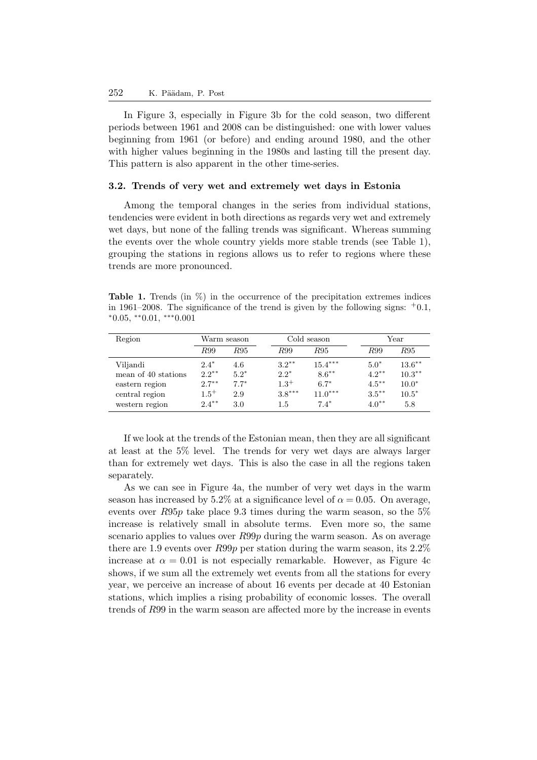In Figure 3, especially in Figure 3b for the cold season, two different periods between 1961 and 2008 can be distinguished: one with lower values beginning from 1961 (or before) and ending around 1980, and the other with higher values beginning in the 1980s and lasting till the present day. This pattern is also apparent in the other time-series.

#### **3.2. Trends of very wet and extremely wet days in Estonia**

Among the temporal changes in the series from individual stations, tendencies were evident in both directions as regards very wet and extremely wet days, but none of the falling trends was significant. Whereas summing the events over the whole country yields more stable trends (see Table 1), grouping the stations in regions allows us to refer to regions where these trends are more pronounced.

**Table 1.** Trends (in %) in the occurrence of the precipitation extremes indices in 1961–2008. The significance of the trend is given by the following signs:  $+0.1$ ,  $*0.05, **0.01, ***0.001$ 

| Region                                                                                | Warm season                                             |                                       | Cold season                                        |                                                        | Year                                                  |                                                     |
|---------------------------------------------------------------------------------------|---------------------------------------------------------|---------------------------------------|----------------------------------------------------|--------------------------------------------------------|-------------------------------------------------------|-----------------------------------------------------|
|                                                                                       | R99                                                     | R95                                   | R99                                                | R95                                                    | R99                                                   | R95                                                 |
| Viljandi<br>mean of 40 stations<br>eastern region<br>central region<br>western region | $2.4*$<br>$2.2***$<br>$2.7***$<br>$1.5^{+}$<br>$2.4***$ | 4.6<br>$5.2*$<br>$7.7*$<br>2.9<br>3.0 | $3.2***$<br>$2.2*$<br>$1.3^{+}$<br>$3.8***$<br>1.5 | $15.4***$<br>$8.6***$<br>$6.7*$<br>$11.0***$<br>$7.4*$ | $5.0*$<br>$4.2***$<br>$4.5***$<br>$3.5***$<br>$4.0**$ | $13.6***$<br>$10.3***$<br>$10.0*$<br>$10.5*$<br>5.8 |

If we look at the trends of the Estonian mean, then they are all significant at least at the 5% level. The trends for very wet days are always larger than for extremely wet days. This is also the case in all the regions taken separately.

As we can see in Figure 4a, the number of very wet days in the warm season has increased by 5.2% at a significance level of  $\alpha = 0.05$ . On average, events over  $R95p$  take place 9.3 times during the warm season, so the  $5\%$ increase is relatively small in absolute terms. Even more so, the same scenario applies to values over  $R99p$  during the warm season. As on average there are 1.9 events over R99p per station during the warm season, its 2.2% increase at  $\alpha = 0.01$  is not especially remarkable. However, as Figure 4c shows, if we sum all the extremely wet events from all the stations for every year, we perceive an increase of about 16 events per decade at 40 Estonian stations, which implies a rising probability of economic losses. The overall trends of R99 in the warm season are affected more by the increase in events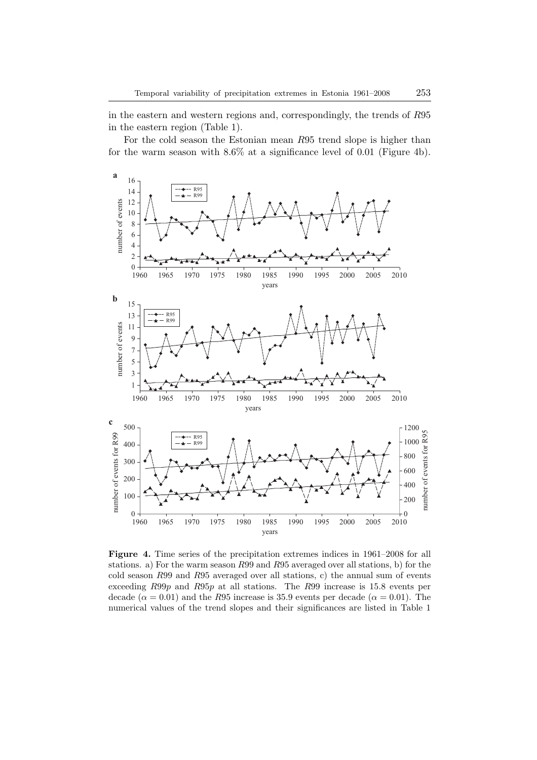in the eastern and western regions and, correspondingly, the trends of R95 in the eastern region (Table 1).

For the cold season the Estonian mean R95 trend slope is higher than for the warm season with 8.6% at a significance level of 0.01 (Figure 4b).



**Figure 4.** Time series of the precipitation extremes indices in  $1961-2008$  for all stations. a) For the warm season R99 and R95 averaged over all stations, b) for the cold season R99 and R95 averaged over all stations, c) the annual sum of events exceeding R99p and R95p at all stations. The R99 increase is 15.8 events per decade ( $\alpha = 0.01$ ) and the R95 increase is 35.9 events per decade ( $\alpha = 0.01$ ). The numerical values of the trend slopes and their significances are listed in Table 1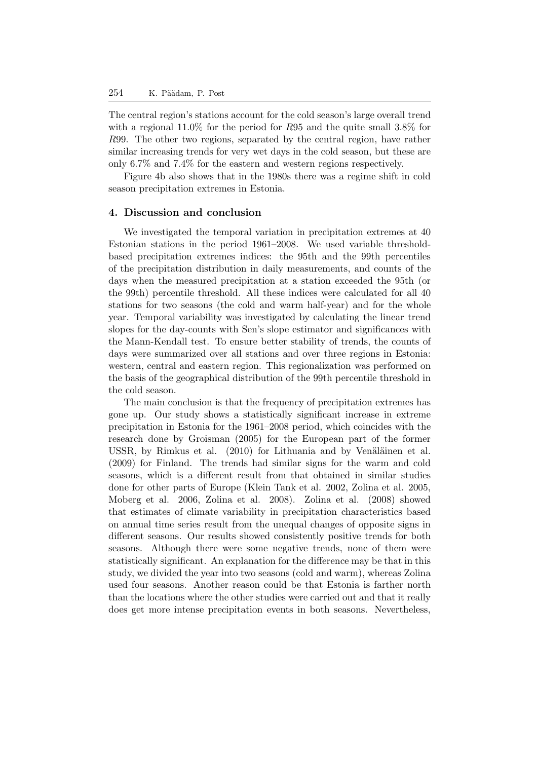The central region's stations account for the cold season's large overall trend with a regional  $11.0\%$  for the period for R95 and the quite small 3.8% for R99. The other two regions, separated by the central region, have rather similar increasing trends for very wet days in the cold season, but these are only 6.7% and 7.4% for the eastern and western regions respectively.

Figure 4b also shows that in the 1980s there was a regime shift in cold season precipitation extremes in Estonia.

## **4. Discussion and conclusion**

We investigated the temporal variation in precipitation extremes at 40 Estonian stations in the period 1961–2008. We used variable thresholdbased precipitation extremes indices: the 95th and the 99th percentiles of the precipitation distribution in daily measurements, and counts of the days when the measured precipitation at a station exceeded the 95th (or the 99th) percentile threshold. All these indices were calculated for all 40 stations for two seasons (the cold and warm half-year) and for the whole year. Temporal variability was investigated by calculating the linear trend slopes for the day-counts with Sen's slope estimator and significances with the Mann-Kendall test. To ensure better stability of trends, the counts of days were summarized over all stations and over three regions in Estonia: western, central and eastern region. This regionalization was performed on the basis of the geographical distribution of the 99th percentile threshold in the cold season.

The main conclusion is that the frequency of precipitation extremes has gone up. Our study shows a statistically significant increase in extreme precipitation in Estonia for the 1961–2008 period, which coincides with the research done by Groisman (2005) for the European part of the former USSR, by Rimkus et al. (2010) for Lithuania and by Venäläinen et al. (2009) for Finland. The trends had similar signs for the warm and cold seasons, which is a different result from that obtained in similar studies done for other parts of Europe (Klein Tank et al. 2002, Zolina et al. 2005, Moberg et al. 2006, Zolina et al. 2008). Zolina et al. (2008) showed that estimates of climate variability in precipitation characteristics based on annual time series result from the unequal changes of opposite signs in different seasons. Our results showed consistently positive trends for both seasons. Although there were some negative trends, none of them were statistically significant. An explanation for the difference may be that in this study, we divided the year into two seasons (cold and warm), whereas Zolina used four seasons. Another reason could be that Estonia is farther north than the locations where the other studies were carried out and that it really does get more intense precipitation events in both seasons. Nevertheless,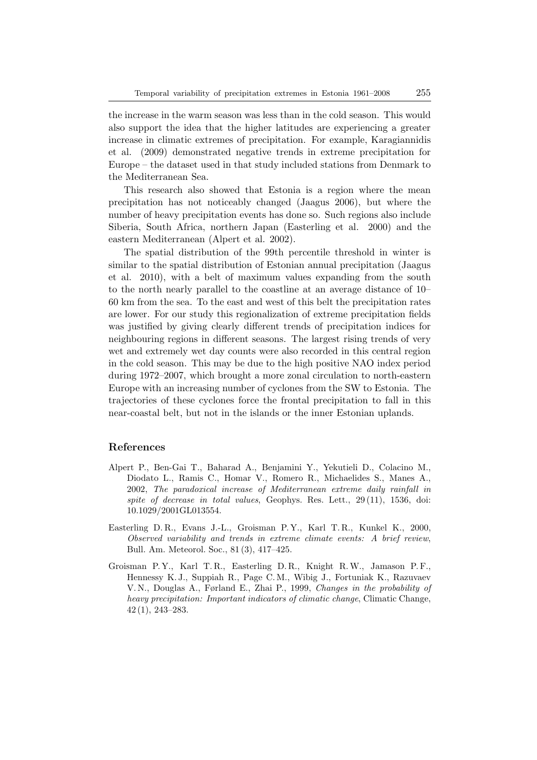the increase in the warm season was less than in the cold season. This would also support the idea that the higher latitudes are experiencing a greater increase in climatic extremes of precipitation. For example, Karagiannidis et al. (2009) demonstrated negative trends in extreme precipitation for Europe – the dataset used in that study included stations from Denmark to the Mediterranean Sea.

This research also showed that Estonia is a region where the mean precipitation has not noticeably changed (Jaagus 2006), but where the number of heavy precipitation events has done so. Such regions also include Siberia, South Africa, northern Japan (Easterling et al. 2000) and the eastern Mediterranean (Alpert et al. 2002).

The spatial distribution of the 99th percentile threshold in winter is similar to the spatial distribution of Estonian annual precipitation (Jaagus et al. 2010), with a belt of maximum values expanding from the south to the north nearly parallel to the coastline at an average distance of 10– 60 km from the sea. To the east and west of this belt the precipitation rates are lower. For our study this regionalization of extreme precipitation fields was justified by giving clearly different trends of precipitation indices for neighbouring regions in different seasons. The largest rising trends of very wet and extremely wet day counts were also recorded in this central region in the cold season. This may be due to the high positive NAO index period during 1972–2007, which brought a more zonal circulation to north-eastern Europe with an increasing number of cyclones from the SW to Estonia. The trajectories of these cyclones force the frontal precipitation to fall in this near-coastal belt, but not in the islands or the inner Estonian uplands.

## **References**

- Alpert P., Ben-Gai T., Baharad A., Benjamini Y., Yekutieli D., Colacino M., Diodato L., Ramis C., Homar V., Romero R., Michaelides S., Manes A., 2002, *The paradoxical increase of Mediterranean extreme daily rainfall in spite of decrease in total values*, Geophys. Res. Lett., 29 (11), 1536, doi: 10.1029/2001GL013554.
- Easterling D. R., Evans J.-L., Groisman P. Y., Karl T. R., Kunkel K., 2000, *Observed variability and trends in extreme climate events: A brief review*, Bull. Am. Meteorol. Soc., 81 (3), 417–425.
- Groisman P.Y., Karl T.R., Easterling D.R., Knight R.W., Jamason P.F., Hennessy K. J., Suppiah R., Page C. M., Wibig J., Fortuniak K., Razuvaev V. N., Douglas A., Førland E., Zhai P., 1999, *Changes in the probability of heavy precipitation: Important indicators of climatic change*, Climatic Change, 42 (1), 243–283.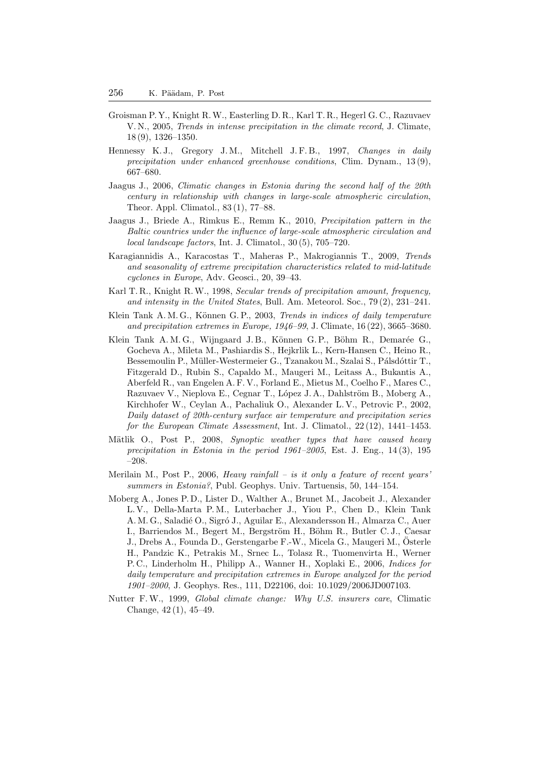- Groisman P. Y., Knight R.W., Easterling D. R., Karl T. R., Hegerl G. C., Razuvaev V. N., 2005, *Trends in intense precipitation in the climate record*, J. Climate, 18 (9), 1326–1350.
- Hennessy K. J., Gregory J. M., Mitchell J. F. B., 1997, *Changes in daily precipitation under enhanced greenhouse conditions*, Clim. Dynam., 13 (9), 667–680.
- Jaagus J., 2006, *Climatic changes in Estonia during the second half of the 20th century in relationship with changes in large-scale atmospheric circulation*, Theor. Appl. Climatol., 83 (1), 77–88.
- Jaagus J., Briede A., Rimkus E., Remm K., 2010, *Precipitation pattern in the Baltic countries under the influence of large-scale atmospheric circulation and local landscape factors*, Int. J. Climatol., 30 (5), 705–720.
- Karagiannidis A., Karacostas T., Maheras P., Makrogiannis T., 2009, *Trends and seasonality of extreme precipitation characteristics related to mid-latitude cyclones in Europe*, Adv. Geosci., 20, 39–43.
- Karl T. R., Knight R.W., 1998, *Secular trends of precipitation amount, frequency, and intensity in the United States*, Bull. Am. Meteorol. Soc., 79 (2), 231–241.
- Klein Tank A. M. G., Können G. P., 2003, *Trends in indices of daily temperature and precipitation extremes in Europe, 1946–99*, J. Climate, 16 (22), 3665–3680.
- Klein Tank A. M. G., Wijngaard J. B., Können G. P., Böhm R., Demarée G., Gocheva A., Mileta M., Pashiardis S., Hejkrlik L., Kern-Hansen C., Heino R., Bessemoulin P., Müller-Westermeier G., Tzanakou M., Szalai S., Pálsdóttir T., Fitzgerald D., Rubin S., Capaldo M., Maugeri M., Leitass A., Bukantis A., Aberfeld R., van Engelen A. F. V., Forland E., Mietus M., Coelho F., Mares C., Razuvaev V., Nieplova E., Cegnar T., López J. A., Dahlström B., Moberg A., Kirchhofer W., Ceylan A., Pachaliuk O., Alexander L. V., Petrovic P., 2002, *Daily dataset of 20th-century surface air temperature and precipitation series for the European Climate Assessment*, Int. J. Climatol., 22 (12), 1441–1453.
- Mätlik O., Post P., 2008, *Synoptic weather types that have caused heavy precipitation in Estonia in the period 1961–2005*, Est. J. Eng., 14 (3), 195 –208.
- Merilain M., Post P., 2006, *Heavy rainfall is it only a feature of recent years' summers in Estonia?*, Publ. Geophys. Univ. Tartuensis, 50, 144–154.
- Moberg A., Jones P. D., Lister D., Walther A., Brunet M., Jacobeit J., Alexander L. V., Della-Marta P. M., Luterbacher J., Yiou P., Chen D., Klein Tank A. M. G., Saladié O., Sigró J., Aguilar E., Alexandersson H., Almarza C., Auer I., Barriendos M., Begert M., Bergström H., Böhm R., Butler C. J., Caesar J., Drebs A., Founda D., Gerstengarbe F.-W., Micela G., Maugeri M., Osterle ¨ H., Pandzic K., Petrakis M., Srnec L., Tolasz R., Tuomenvirta H., Werner P. C., Linderholm H., Philipp A., Wanner H., Xoplaki E., 2006, *Indices for daily temperature and precipitation extremes in Europe analyzed for the period 1901–2000*, J. Geophys. Res., 111, D22106, doi: 10.1029/2006JD007103.
- Nutter F.W., 1999, *Global climate change: Why U.S. insurers care*, Climatic Change, 42 (1), 45–49.